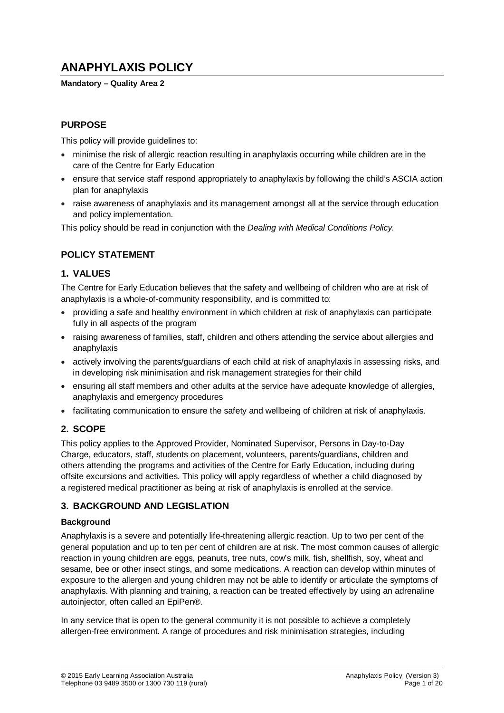# **ANAPHYLAXIS POLICY**

#### **Mandatory – Quality Area 2**

## **PURPOSE**

This policy will provide guidelines to:

- minimise the risk of allergic reaction resulting in anaphylaxis occurring while children are in the care of the Centre for Early Education
- ensure that service staff respond appropriately to anaphylaxis by following the child's ASCIA action plan for anaphylaxis
- raise awareness of anaphylaxis and its management amongst all at the service through education and policy implementation.

This policy should be read in conjunction with the *Dealing with Medical Conditions Policy.*

## **POLICY STATEMENT**

## **1. VALUES**

The Centre for Early Education believes that the safety and wellbeing of children who are at risk of anaphylaxis is a whole-of-community responsibility, and is committed to:

- providing a safe and healthy environment in which children at risk of anaphylaxis can participate fully in all aspects of the program
- raising awareness of families, staff, children and others attending the service about allergies and anaphylaxis
- actively involving the parents/guardians of each child at risk of anaphylaxis in assessing risks, and in developing risk minimisation and risk management strategies for their child
- ensuring all staff members and other adults at the service have adequate knowledge of allergies, anaphylaxis and emergency procedures
- facilitating communication to ensure the safety and wellbeing of children at risk of anaphylaxis.

## **2. SCOPE**

This policy applies to the Approved Provider, Nominated Supervisor, Persons in Day-to-Day Charge, educators, staff, students on placement, volunteers, parents/guardians, children and others attending the programs and activities of the Centre for Early Education, including during offsite excursions and activities. This policy will apply regardless of whether a child diagnosed by a registered medical practitioner as being at risk of anaphylaxis is enrolled at the service.

## **3. BACKGROUND AND LEGISLATION**

#### **Background**

Anaphylaxis is a severe and potentially life-threatening allergic reaction. Up to two per cent of the general population and up to ten per cent of children are at risk. The most common causes of allergic reaction in young children are eggs, peanuts, tree nuts, cow's milk, fish, shellfish, soy, wheat and sesame, bee or other insect stings, and some medications. A reaction can develop within minutes of exposure to the allergen and young children may not be able to identify or articulate the symptoms of anaphylaxis. With planning and training, a reaction can be treated effectively by using an adrenaline autoinjector, often called an EpiPen®.

In any service that is open to the general community it is not possible to achieve a completely allergen-free environment. A range of procedures and risk minimisation strategies, including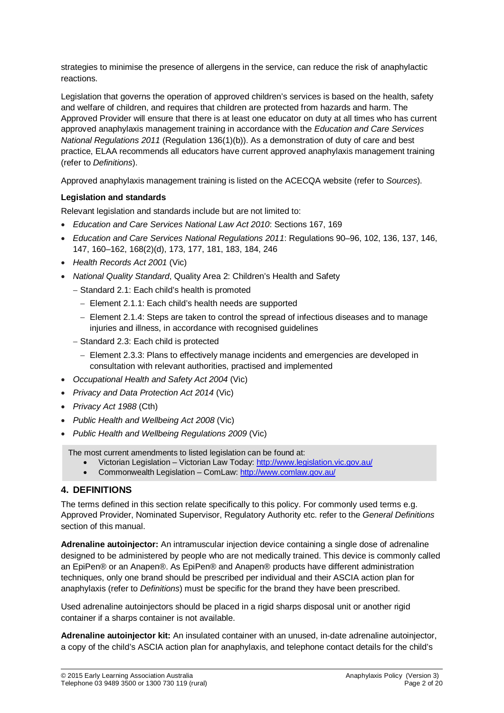strategies to minimise the presence of allergens in the service, can reduce the risk of anaphylactic reactions.

Legislation that governs the operation of approved children's services is based on the health, safety and welfare of children, and requires that children are protected from hazards and harm. The Approved Provider will ensure that there is at least one educator on duty at all times who has current approved anaphylaxis management training in accordance with the *Education and Care Services National Regulations 2011* (Regulation 136(1)(b)). As a demonstration of duty of care and best practice, ELAA recommends all educators have current approved anaphylaxis management training (refer to *Definitions*).

Approved anaphylaxis management training is listed on the ACECQA website (refer to *Sources*).

#### **Legislation and standards**

Relevant legislation and standards include but are not limited to:

- *Education and Care Services National Law Act 2010*: Sections 167, 169
- *Education and Care Services National Regulations 2011*: Regulations 90–96, 102, 136, 137, 146, 147, 160–162, 168(2)(d), 173, 177, 181, 183, 184, 246
- *Health Records Act 2001* (Vic)
- *National Quality Standard*, Quality Area 2: Children's Health and Safety
	- − Standard 2.1: Each child's health is promoted
		- − Element 2.1.1: Each child's health needs are supported
		- − Element 2.1.4: Steps are taken to control the spread of infectious diseases and to manage injuries and illness, in accordance with recognised guidelines
	- − Standard 2.3: Each child is protected
		- − Element 2.3.3: Plans to effectively manage incidents and emergencies are developed in consultation with relevant authorities, practised and implemented
- *Occupational Health and Safety Act 2004* (Vic)
- *Privacy and Data Protection Act 2014* (Vic)
- *Privacy Act 1988* (Cth)
- *Public Health and Wellbeing Act 2008* (Vic)
- *Public Health and Wellbeing Regulations 2009* (Vic)

The most current amendments to listed legislation can be found at:

- Victorian Legislation Victorian Law Today:<http://www.legislation.vic.gov.au/>
- Commonwealth Legislation ComLaw[: http://www.comlaw.gov.au/](http://www.comlaw.gov.au/)

#### **4. DEFINITIONS**

The terms defined in this section relate specifically to this policy. For commonly used terms e.g. Approved Provider, Nominated Supervisor, Regulatory Authority etc. refer to the *General Definitions* section of this manual.

**Adrenaline autoinjector:** An intramuscular injection device containing a single dose of adrenaline designed to be administered by people who are not medically trained. This device is commonly called an EpiPen® or an Anapen®. As EpiPen® and Anapen® products have different administration techniques, only one brand should be prescribed per individual and their ASCIA action plan for anaphylaxis (refer to *Definitions*) must be specific for the brand they have been prescribed.

Used adrenaline autoinjectors should be placed in a rigid sharps disposal unit or another rigid container if a sharps container is not available.

**Adrenaline autoinjector kit:** An insulated container with an unused, in-date adrenaline autoinjector, a copy of the child's ASCIA action plan for anaphylaxis, and telephone contact details for the child's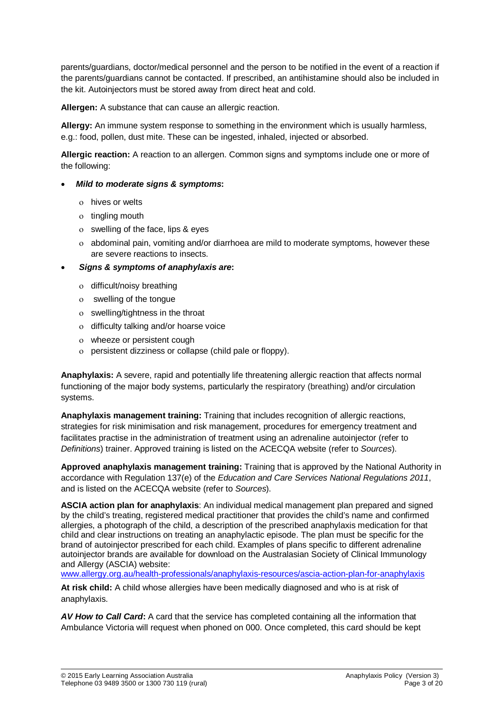parents/guardians, doctor/medical personnel and the person to be notified in the event of a reaction if the parents/guardians cannot be contacted. If prescribed, an antihistamine should also be included in the kit. Autoinjectors must be stored away from direct heat and cold.

**Allergen:** A substance that can cause an allergic reaction.

**Allergy:** An immune system response to something in the environment which is usually harmless, e.g.: food, pollen, dust mite. These can be ingested, inhaled, injected or absorbed.

**Allergic reaction:** A reaction to an allergen. Common signs and symptoms include one or more of the following:

#### • *Mild to moderate signs & symptoms***:**

- ο hives or welts
- ο tingling mouth
- ο swelling of the face, lips & eyes
- ο abdominal pain, vomiting and/or diarrhoea are mild to moderate symptoms, however these are severe reactions to insects.

#### • *Signs & symptoms of anaphylaxis are***:**

- ο difficult/noisy breathing
- ο swelling of the tongue
- ο swelling/tightness in the throat
- ο difficulty talking and/or hoarse voice
- ο wheeze or persistent cough
- ο persistent dizziness or collapse (child pale or floppy).

**Anaphylaxis:** A severe, rapid and potentially life threatening allergic reaction that affects normal functioning of the major body systems, particularly the respiratory (breathing) and/or circulation systems.

**Anaphylaxis management training:** Training that includes recognition of allergic reactions, strategies for risk minimisation and risk management, procedures for emergency treatment and facilitates practise in the administration of treatment using an adrenaline autoinjector (refer to *Definitions*) trainer. Approved training is listed on the ACECQA website (refer to *Sources*).

**Approved anaphylaxis management training:** Training that is approved by the National Authority in accordance with Regulation 137(e) of the *Education and Care Services National Regulations 2011*, and is listed on the ACECQA website (refer to *Sources*).

**ASCIA action plan for anaphylaxis**: An individual medical management plan prepared and signed by the child's treating, registered medical practitioner that provides the child's name and confirmed allergies, a photograph of the child, a description of the prescribed anaphylaxis medication for that child and clear instructions on treating an anaphylactic episode. The plan must be specific for the brand of autoinjector prescribed for each child. Examples of plans specific to different adrenaline autoinjector brands are available for download on the Australasian Society of Clinical Immunology and Allergy (ASCIA) website:

[www.allergy.org.au/health-professionals/anaphylaxis-resources/ascia-action-plan-for-anaphylaxis](http://www.allergy.org.au/health-professionals/anaphylaxis-resources/ascia-action-plan-for-anaphylaxis)

**At risk child:** A child whose allergies have been medically diagnosed and who is at risk of anaphylaxis.

*AV How to Call Card***:** A card that the service has completed containing all the information that Ambulance Victoria will request when phoned on 000. Once completed, this card should be kept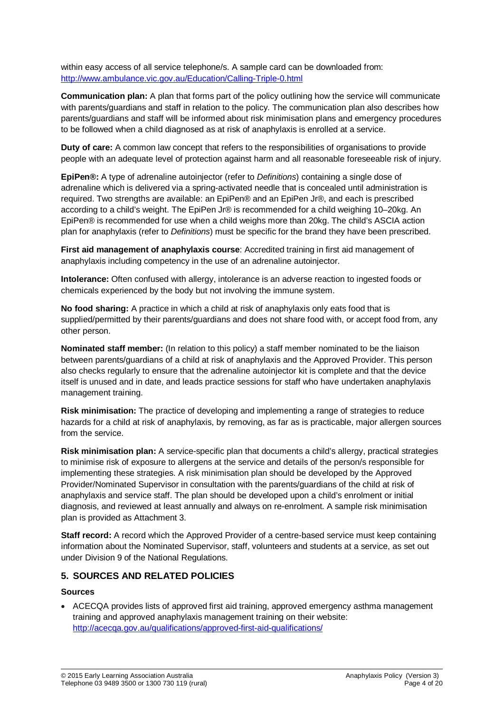within easy access of all service telephone/s. A sample card can be downloaded from: <http://www.ambulance.vic.gov.au/Education/Calling-Triple-0.html>

**Communication plan:** A plan that forms part of the policy outlining how the service will communicate with parents/guardians and staff in relation to the policy. The communication plan also describes how parents/guardians and staff will be informed about risk minimisation plans and emergency procedures to be followed when a child diagnosed as at risk of anaphylaxis is enrolled at a service.

**Duty of care:** A common law concept that refers to the responsibilities of organisations to provide people with an adequate level of protection against harm and all reasonable foreseeable risk of injury.

**EpiPen®:** A type of adrenaline autoinjector (refer to *Definitions*) containing a single dose of adrenaline which is delivered via a spring-activated needle that is concealed until administration is required. Two strengths are available: an EpiPen® and an EpiPen Jr®, and each is prescribed according to a child's weight. The EpiPen Jr® is recommended for a child weighing 10–20kg. An EpiPen® is recommended for use when a child weighs more than 20kg. The child's ASCIA action plan for anaphylaxis (refer to *Definitions*) must be specific for the brand they have been prescribed.

**First aid management of anaphylaxis course**: Accredited training in first aid management of anaphylaxis including competency in the use of an adrenaline autoinjector.

**Intolerance:** Often confused with allergy, intolerance is an adverse reaction to ingested foods or chemicals experienced by the body but not involving the immune system.

**No food sharing:** A practice in which a child at risk of anaphylaxis only eats food that is supplied/permitted by their parents/guardians and does not share food with, or accept food from, any other person.

**Nominated staff member:** (In relation to this policy) a staff member nominated to be the liaison between parents/guardians of a child at risk of anaphylaxis and the Approved Provider. This person also checks regularly to ensure that the adrenaline autoinjector kit is complete and that the device itself is unused and in date, and leads practice sessions for staff who have undertaken anaphylaxis management training.

**Risk minimisation:** The practice of developing and implementing a range of strategies to reduce hazards for a child at risk of anaphylaxis, by removing, as far as is practicable, major allergen sources from the service.

**Risk minimisation plan:** A service-specific plan that documents a child's allergy, practical strategies to minimise risk of exposure to allergens at the service and details of the person/s responsible for implementing these strategies. A risk minimisation plan should be developed by the Approved Provider/Nominated Supervisor in consultation with the parents/guardians of the child at risk of anaphylaxis and service staff. The plan should be developed upon a child's enrolment or initial diagnosis, and reviewed at least annually and always on re-enrolment. A sample risk minimisation plan is provided as Attachment 3.

**Staff record:** A record which the Approved Provider of a centre-based service must keep containing information about the Nominated Supervisor, staff, volunteers and students at a service, as set out under Division 9 of the National Regulations.

#### **5. SOURCES AND RELATED POLICIES**

#### **Sources**

• ACECQA provides lists of approved first aid training, approved emergency asthma management training and approved anaphylaxis management training on their website: <http://acecqa.gov.au/qualifications/approved-first-aid-qualifications/>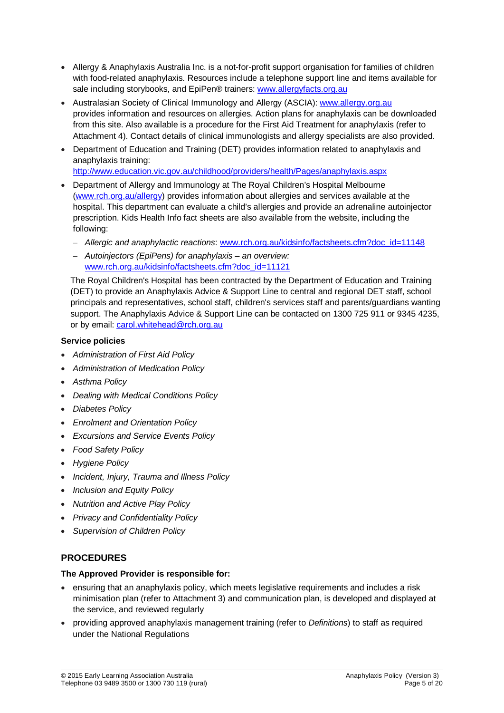- Allergy & Anaphylaxis Australia Inc. is a not-for-profit support organisation for families of children with food-related anaphylaxis. Resources include a telephone support line and items available for sale including storybooks, and EpiPen® trainers: [www.allergyfacts.org.au](http://www.allergyfacts.org.au/)
- Australasian Society of Clinical Immunology and Allergy (ASCIA): [www.allergy.org.au](http://www.allergy.org.au/) provides information and resources on allergies. Action plans for anaphylaxis can be downloaded from this site. Also available is a procedure for the First Aid Treatment for anaphylaxis (refer to Attachment 4). Contact details of clinical immunologists and allergy specialists are also provided.
- Department of Education and Training (DET) provides information related to anaphylaxis and anaphylaxis training:

<http://www.education.vic.gov.au/childhood/providers/health/Pages/anaphylaxis.aspx>

- Department of Allergy and Immunology at The Royal Children's Hospital Melbourne [\(www.rch.org.au/allergy\)](http://www.rch.org.au/allergy) provides information about allergies and services available at the hospital. This department can evaluate a child's allergies and provide an adrenaline autoinjector prescription. Kids Health Info fact sheets are also available from the website, including the following:
	- − *Allergic and anaphylactic reactions*: [www.rch.org.au/kidsinfo/factsheets.cfm?doc\\_id=11148](http://www.rch.org.au/kidsinfo/factsheets.cfm?doc_id=11148)
	- − *Autoinjectors (EpiPens) for anaphylaxis – an overview:*  [www.rch.org.au/kidsinfo/factsheets.cfm?doc\\_id=11121](http://www.rch.org.au/kidsinfo/factsheets.cfm?doc_id=11121)

The Royal Children's Hospital has been contracted by the Department of Education and Training (DET) to provide an Anaphylaxis Advice & Support Line to central and regional DET staff, school principals and representatives, school staff, children's services staff and parents/guardians wanting support. The Anaphylaxis Advice & Support Line can be contacted on 1300 725 911 or 9345 4235, or by email: [carol.whitehead@rch.org.au](mailto:carol.whitehead@rch.org.au)

### **Service policies**

- *Administration of First Aid Policy*
- *Administration of Medication Policy*
- *Asthma Policy*
- *Dealing with Medical Conditions Policy*
- *Diabetes Policy*
- *Enrolment and Orientation Policy*
- *Excursions and Service Events Policy*
- *Food Safety Policy*
- *Hygiene Policy*
- *Incident, Injury, Trauma and Illness Policy*
- *Inclusion and Equity Policy*
- *Nutrition and Active Play Policy*
- *Privacy and Confidentiality Policy*
- *Supervision of Children Policy*

## **PROCEDURES**

#### **The Approved Provider is responsible for:**

- ensuring that an anaphylaxis policy, which meets legislative requirements and includes a risk minimisation plan (refer to Attachment 3) and communication plan, is developed and displayed at the service, and reviewed regularly
- providing approved anaphylaxis management training (refer to *Definitions*) to staff as required under the National Regulations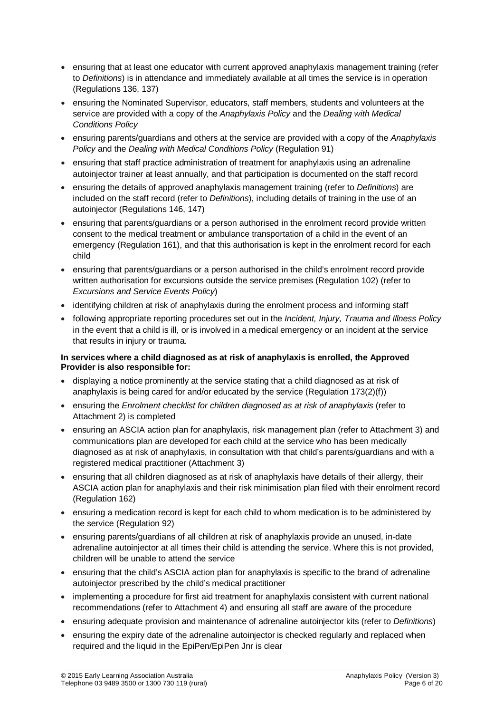- ensuring that at least one educator with current approved anaphylaxis management training (refer to *Definitions*) is in attendance and immediately available at all times the service is in operation (Regulations 136, 137)
- ensuring the Nominated Supervisor, educators, staff members, students and volunteers at the service are provided with a copy of the *Anaphylaxis Policy* and the *Dealing with Medical Conditions Policy*
- ensuring parents/guardians and others at the service are provided with a copy of the *Anaphylaxis Policy* and the *Dealing with Medical Conditions Policy* (Regulation 91)
- ensuring that staff practice administration of treatment for anaphylaxis using an adrenaline autoinjector trainer at least annually, and that participation is documented on the staff record
- ensuring the details of approved anaphylaxis management training (refer to *Definitions*) are included on the staff record (refer to *Definitions*), including details of training in the use of an autoinjector (Regulations 146, 147)
- ensuring that parents/guardians or a person authorised in the enrolment record provide written consent to the medical treatment or ambulance transportation of a child in the event of an emergency (Regulation 161), and that this authorisation is kept in the enrolment record for each child
- ensuring that parents/guardians or a person authorised in the child's enrolment record provide written authorisation for excursions outside the service premises (Regulation 102) (refer to *Excursions and Service Events Policy*)
- identifying children at risk of anaphylaxis during the enrolment process and informing staff
- following appropriate reporting procedures set out in the *Incident, Injury, Trauma and Illness Policy* in the event that a child is ill, or is involved in a medical emergency or an incident at the service that results in injury or trauma.

#### **In services where a child diagnosed as at risk of anaphylaxis is enrolled, the Approved Provider is also responsible for:**

- displaying a notice prominently at the service stating that a child diagnosed as at risk of anaphylaxis is being cared for and/or educated by the service (Regulation 173(2)(f))
- ensuring the *Enrolment checklist for children diagnosed as at risk of anaphylaxis* (refer to Attachment 2) is completed
- ensuring an ASCIA action plan for anaphylaxis, risk management plan (refer to Attachment 3) and communications plan are developed for each child at the service who has been medically diagnosed as at risk of anaphylaxis, in consultation with that child's parents/guardians and with a registered medical practitioner (Attachment 3)
- ensuring that all children diagnosed as at risk of anaphylaxis have details of their allergy, their ASCIA action plan for anaphylaxis and their risk minimisation plan filed with their enrolment record (Regulation 162)
- ensuring a medication record is kept for each child to whom medication is to be administered by the service (Regulation 92)
- ensuring parents/guardians of all children at risk of anaphylaxis provide an unused, in-date adrenaline autoinjector at all times their child is attending the service. Where this is not provided, children will be unable to attend the service
- ensuring that the child's ASCIA action plan for anaphylaxis is specific to the brand of adrenaline autoinjector prescribed by the child's medical practitioner
- implementing a procedure for first aid treatment for anaphylaxis consistent with current national recommendations (refer to Attachment 4) and ensuring all staff are aware of the procedure
- ensuring adequate provision and maintenance of adrenaline autoinjector kits (refer to *Definitions*)
- ensuring the expiry date of the adrenaline autoinjector is checked regularly and replaced when required and the liquid in the EpiPen/EpiPen Jnr is clear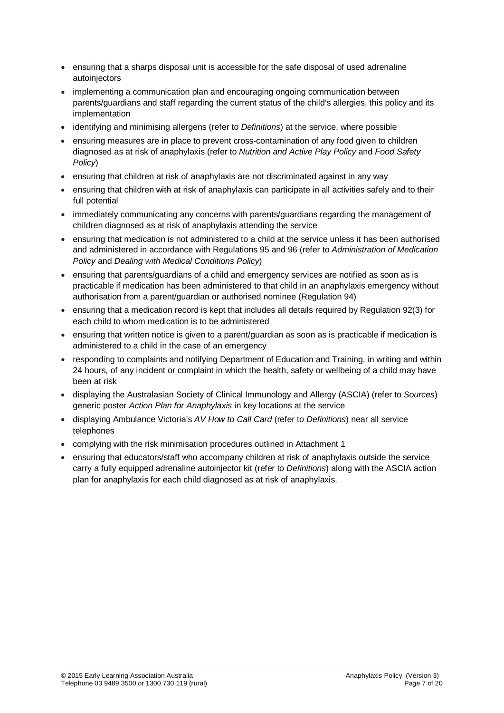- ensuring that a sharps disposal unit is accessible for the safe disposal of used adrenaline autoinjectors
- implementing a communication plan and encouraging ongoing communication between parents/guardians and staff regarding the current status of the child's allergies, this policy and its implementation
- identifying and minimising allergens (refer to *Definitions*) at the service, where possible
- ensuring measures are in place to prevent cross-contamination of any food given to children diagnosed as at risk of anaphylaxis (refer to *Nutrition and Active Play Policy* and *Food Safety Policy*)
- ensuring that children at risk of anaphylaxis are not discriminated against in any way
- ensuring that children with at risk of anaphylaxis can participate in all activities safely and to their full potential
- immediately communicating any concerns with parents/guardians regarding the management of children diagnosed as at risk of anaphylaxis attending the service
- ensuring that medication is not administered to a child at the service unless it has been authorised and administered in accordance with Regulations 95 and 96 (refer to *Administration of Medication Policy* and *Dealing with Medical Conditions Policy*)
- ensuring that parents/guardians of a child and emergency services are notified as soon as is practicable if medication has been administered to that child in an anaphylaxis emergency without authorisation from a parent/guardian or authorised nominee (Regulation 94)
- ensuring that a medication record is kept that includes all details required by Regulation 92(3) for each child to whom medication is to be administered
- ensuring that written notice is given to a parent/guardian as soon as is practicable if medication is administered to a child in the case of an emergency
- responding to complaints and notifying Department of Education and Training, in writing and within 24 hours, of any incident or complaint in which the health, safety or wellbeing of a child may have been at risk
- displaying the Australasian Society of Clinical Immunology and Allergy (ASCIA) (refer to *Sources*) generic poster *Action Plan for Anaphylaxis* in key locations at the service
- displaying Ambulance Victoria's *AV How to Call Card* (refer to *Definitions*) near all service telephones
- complying with the risk minimisation procedures outlined in Attachment 1
- ensuring that educators/staff who accompany children at risk of anaphylaxis outside the service carry a fully equipped adrenaline autoinjector kit (refer to *Definitions*) along with the ASCIA action plan for anaphylaxis for each child diagnosed as at risk of anaphylaxis.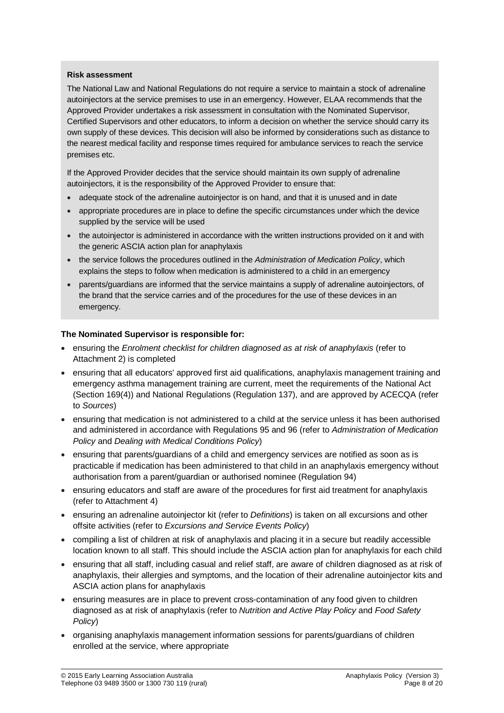#### **Risk assessment**

The National Law and National Regulations do not require a service to maintain a stock of adrenaline autoinjectors at the service premises to use in an emergency. However, ELAA recommends that the Approved Provider undertakes a risk assessment in consultation with the Nominated Supervisor, Certified Supervisors and other educators, to inform a decision on whether the service should carry its own supply of these devices. This decision will also be informed by considerations such as distance to the nearest medical facility and response times required for ambulance services to reach the service premises etc.

If the Approved Provider decides that the service should maintain its own supply of adrenaline autoinjectors, it is the responsibility of the Approved Provider to ensure that:

- adequate stock of the adrenaline autoiniector is on hand, and that it is unused and in date
- appropriate procedures are in place to define the specific circumstances under which the device supplied by the service will be used
- the autoinjector is administered in accordance with the written instructions provided on it and with the generic ASCIA action plan for anaphylaxis
- the service follows the procedures outlined in the *Administration of Medication Policy*, which explains the steps to follow when medication is administered to a child in an emergency
- parents/guardians are informed that the service maintains a supply of adrenaline autoinjectors, of the brand that the service carries and of the procedures for the use of these devices in an emergency.

#### **The Nominated Supervisor is responsible for:**

- ensuring the *Enrolment checklist for children diagnosed as at risk of anaphylaxis* (refer to Attachment 2) is completed
- ensuring that all educators' approved first aid qualifications, anaphylaxis management training and emergency asthma management training are current, meet the requirements of the National Act (Section 169(4)) and National Regulations (Regulation 137), and are approved by ACECQA (refer to *Sources*)
- ensuring that medication is not administered to a child at the service unless it has been authorised and administered in accordance with Regulations 95 and 96 (refer to *Administration of Medication Policy* and *Dealing with Medical Conditions Policy*)
- ensuring that parents/guardians of a child and emergency services are notified as soon as is practicable if medication has been administered to that child in an anaphylaxis emergency without authorisation from a parent/guardian or authorised nominee (Regulation 94)
- ensuring educators and staff are aware of the procedures for first aid treatment for anaphylaxis (refer to Attachment 4)
- ensuring an adrenaline autoinjector kit (refer to *Definitions*) is taken on all excursions and other offsite activities (refer to *Excursions and Service Events Policy*)
- compiling a list of children at risk of anaphylaxis and placing it in a secure but readily accessible location known to all staff. This should include the ASCIA action plan for anaphylaxis for each child
- ensuring that all staff, including casual and relief staff, are aware of children diagnosed as at risk of anaphylaxis, their allergies and symptoms, and the location of their adrenaline autoinjector kits and ASCIA action plans for anaphylaxis
- ensuring measures are in place to prevent cross-contamination of any food given to children diagnosed as at risk of anaphylaxis (refer to *Nutrition and Active Play Policy* and *Food Safety Policy*)
- organising anaphylaxis management information sessions for parents/guardians of children enrolled at the service, where appropriate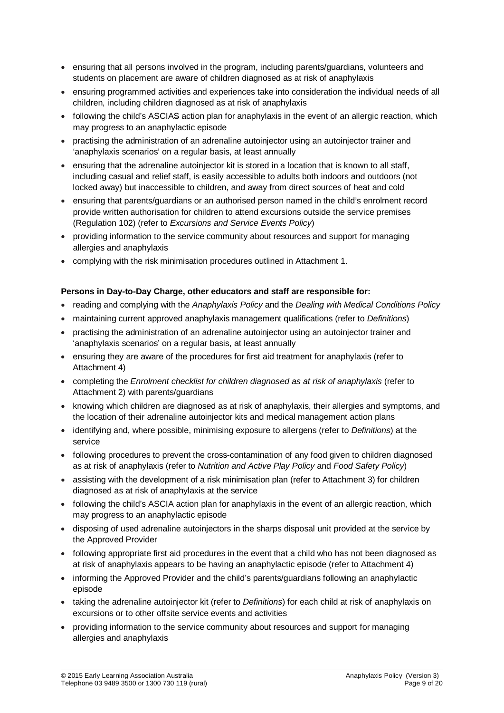- ensuring that all persons involved in the program, including parents/guardians, volunteers and students on placement are aware of children diagnosed as at risk of anaphylaxis
- ensuring programmed activities and experiences take into consideration the individual needs of all children, including children diagnosed as at risk of anaphylaxis
- following the child's ASCIAS action plan for anaphylaxis in the event of an allergic reaction, which may progress to an anaphylactic episode
- practising the administration of an adrenaline autoinjector using an autoinjector trainer and 'anaphylaxis scenarios' on a regular basis, at least annually
- ensuring that the adrenaline autoinjector kit is stored in a location that is known to all staff, including casual and relief staff, is easily accessible to adults both indoors and outdoors (not locked away) but inaccessible to children, and away from direct sources of heat and cold
- ensuring that parents/guardians or an authorised person named in the child's enrolment record provide written authorisation for children to attend excursions outside the service premises (Regulation 102) (refer to *Excursions and Service Events Policy*)
- providing information to the service community about resources and support for managing allergies and anaphylaxis
- complying with the risk minimisation procedures outlined in Attachment 1.

#### **Persons in Day-to-Day Charge, other educators and staff are responsible for:**

- reading and complying with the *Anaphylaxis Policy* and the *Dealing with Medical Conditions Policy*
- maintaining current approved anaphylaxis management qualifications (refer to *Definitions*)
- practising the administration of an adrenaline autoinjector using an autoinjector trainer and 'anaphylaxis scenarios' on a regular basis, at least annually
- ensuring they are aware of the procedures for first aid treatment for anaphylaxis (refer to Attachment 4)
- completing the *Enrolment checklist for children diagnosed as at risk of anaphylaxis* (refer to Attachment 2) with parents/guardians
- knowing which children are diagnosed as at risk of anaphylaxis, their allergies and symptoms, and the location of their adrenaline autoinjector kits and medical management action plans
- identifying and, where possible, minimising exposure to allergens (refer to *Definitions*) at the service
- following procedures to prevent the cross-contamination of any food given to children diagnosed as at risk of anaphylaxis (refer to *Nutrition and Active Play Policy* and *Food Safety Policy*)
- assisting with the development of a risk minimisation plan (refer to Attachment 3) for children diagnosed as at risk of anaphylaxis at the service
- following the child's ASCIA action plan for anaphylaxis in the event of an allergic reaction, which may progress to an anaphylactic episode
- disposing of used adrenaline autoinjectors in the sharps disposal unit provided at the service by the Approved Provider
- following appropriate first aid procedures in the event that a child who has not been diagnosed as at risk of anaphylaxis appears to be having an anaphylactic episode (refer to Attachment 4)
- informing the Approved Provider and the child's parents/guardians following an anaphylactic episode
- taking the adrenaline autoinjector kit (refer to *Definitions*) for each child at risk of anaphylaxis on excursions or to other offsite service events and activities
- providing information to the service community about resources and support for managing allergies and anaphylaxis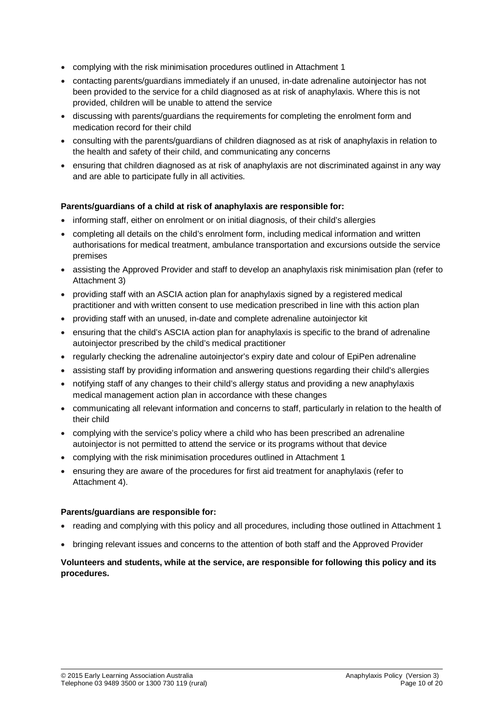- complying with the risk minimisation procedures outlined in Attachment 1
- contacting parents/guardians immediately if an unused, in-date adrenaline autoinjector has not been provided to the service for a child diagnosed as at risk of anaphylaxis. Where this is not provided, children will be unable to attend the service
- discussing with parents/guardians the requirements for completing the enrolment form and medication record for their child
- consulting with the parents/guardians of children diagnosed as at risk of anaphylaxis in relation to the health and safety of their child, and communicating any concerns
- ensuring that children diagnosed as at risk of anaphylaxis are not discriminated against in any way and are able to participate fully in all activities.

#### **Parents/guardians of a child at risk of anaphylaxis are responsible for:**

- informing staff, either on enrolment or on initial diagnosis, of their child's allergies
- completing all details on the child's enrolment form, including medical information and written authorisations for medical treatment, ambulance transportation and excursions outside the service premises
- assisting the Approved Provider and staff to develop an anaphylaxis risk minimisation plan (refer to Attachment 3)
- providing staff with an ASCIA action plan for anaphylaxis signed by a registered medical practitioner and with written consent to use medication prescribed in line with this action plan
- providing staff with an unused, in-date and complete adrenaline autoinjector kit
- ensuring that the child's ASCIA action plan for anaphylaxis is specific to the brand of adrenaline autoinjector prescribed by the child's medical practitioner
- regularly checking the adrenaline autoinjector's expiry date and colour of EpiPen adrenaline
- assisting staff by providing information and answering questions regarding their child's allergies
- notifying staff of any changes to their child's allergy status and providing a new anaphylaxis medical management action plan in accordance with these changes
- communicating all relevant information and concerns to staff, particularly in relation to the health of their child
- complying with the service's policy where a child who has been prescribed an adrenaline autoinjector is not permitted to attend the service or its programs without that device
- complying with the risk minimisation procedures outlined in Attachment 1
- ensuring they are aware of the procedures for first aid treatment for anaphylaxis (refer to Attachment 4).

#### **Parents/guardians are responsible for:**

- reading and complying with this policy and all procedures, including those outlined in Attachment 1
- bringing relevant issues and concerns to the attention of both staff and the Approved Provider

#### **Volunteers and students, while at the service, are responsible for following this policy and its procedures.**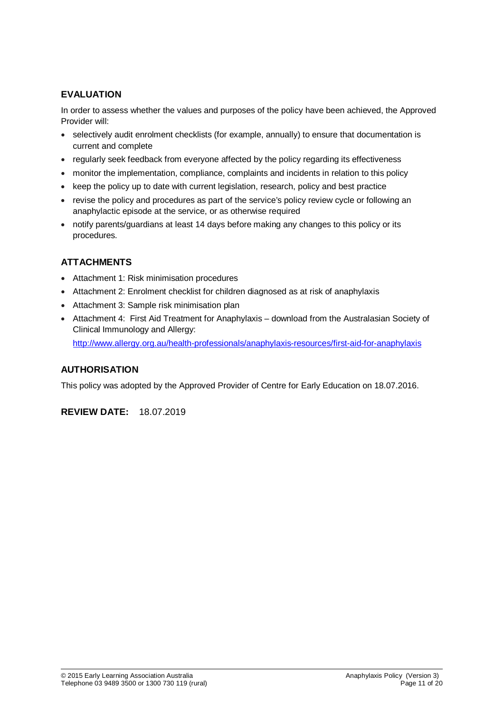## **EVALUATION**

In order to assess whether the values and purposes of the policy have been achieved, the Approved Provider will:

- selectively audit enrolment checklists (for example, annually) to ensure that documentation is current and complete
- regularly seek feedback from everyone affected by the policy regarding its effectiveness
- monitor the implementation, compliance, complaints and incidents in relation to this policy
- keep the policy up to date with current legislation, research, policy and best practice
- revise the policy and procedures as part of the service's policy review cycle or following an anaphylactic episode at the service, or as otherwise required
- notify parents/guardians at least 14 days before making any changes to this policy or its procedures.

## **ATTACHMENTS**

- Attachment 1: Risk minimisation procedures
- Attachment 2: Enrolment checklist for children diagnosed as at risk of anaphylaxis
- Attachment 3: Sample risk minimisation plan
- Attachment 4: First Aid Treatment for Anaphylaxis download from the Australasian Society of Clinical Immunology and Allergy: <http://www.allergy.org.au/health-professionals/anaphylaxis-resources/first-aid-for-anaphylaxis>

## **AUTHORISATION**

This policy was adopted by the Approved Provider of Centre for Early Education on 18.07.2016.

**REVIEW DATE:** 18.07.2019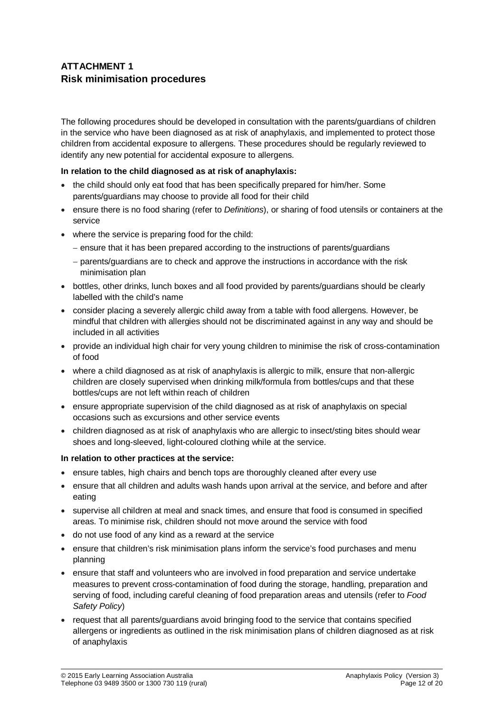## **ATTACHMENT 1 Risk minimisation procedures**

The following procedures should be developed in consultation with the parents/guardians of children in the service who have been diagnosed as at risk of anaphylaxis, and implemented to protect those children from accidental exposure to allergens. These procedures should be regularly reviewed to identify any new potential for accidental exposure to allergens.

#### **In relation to the child diagnosed as at risk of anaphylaxis:**

- the child should only eat food that has been specifically prepared for him/her. Some parents/guardians may choose to provide all food for their child
- ensure there is no food sharing (refer to *Definitions*), or sharing of food utensils or containers at the service
- where the service is preparing food for the child:
	- − ensure that it has been prepared according to the instructions of parents/guardians
	- − parents/guardians are to check and approve the instructions in accordance with the risk minimisation plan
- bottles, other drinks, lunch boxes and all food provided by parents/guardians should be clearly labelled with the child's name
- consider placing a severely allergic child away from a table with food allergens. However, be mindful that children with allergies should not be discriminated against in any way and should be included in all activities
- provide an individual high chair for very young children to minimise the risk of cross-contamination of food
- where a child diagnosed as at risk of anaphylaxis is allergic to milk, ensure that non-allergic children are closely supervised when drinking milk/formula from bottles/cups and that these bottles/cups are not left within reach of children
- ensure appropriate supervision of the child diagnosed as at risk of anaphylaxis on special occasions such as excursions and other service events
- children diagnosed as at risk of anaphylaxis who are allergic to insect/sting bites should wear shoes and long-sleeved, light-coloured clothing while at the service.

#### **In relation to other practices at the service:**

- ensure tables, high chairs and bench tops are thoroughly cleaned after every use
- ensure that all children and adults wash hands upon arrival at the service, and before and after eating
- supervise all children at meal and snack times, and ensure that food is consumed in specified areas. To minimise risk, children should not move around the service with food
- do not use food of any kind as a reward at the service
- ensure that children's risk minimisation plans inform the service's food purchases and menu planning
- ensure that staff and volunteers who are involved in food preparation and service undertake measures to prevent cross-contamination of food during the storage, handling, preparation and serving of food, including careful cleaning of food preparation areas and utensils (refer to *Food Safety Policy*)
- request that all parents/guardians avoid bringing food to the service that contains specified allergens or ingredients as outlined in the risk minimisation plans of children diagnosed as at risk of anaphylaxis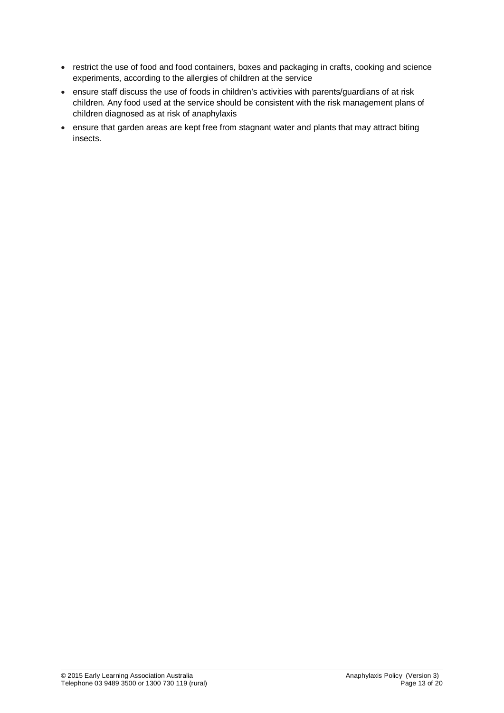- restrict the use of food and food containers, boxes and packaging in crafts, cooking and science experiments, according to the allergies of children at the service
- ensure staff discuss the use of foods in children's activities with parents/guardians of at risk children. Any food used at the service should be consistent with the risk management plans of children diagnosed as at risk of anaphylaxis
- ensure that garden areas are kept free from stagnant water and plants that may attract biting insects.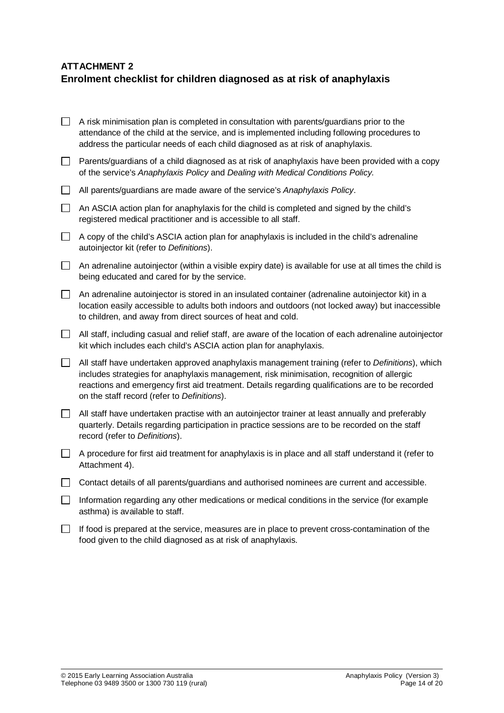## **ATTACHMENT 2 Enrolment checklist for children diagnosed as at risk of anaphylaxis**

|        | A risk minimisation plan is completed in consultation with parents/guardians prior to the<br>attendance of the child at the service, and is implemented including following procedures to<br>address the particular needs of each child diagnosed as at risk of anaphylaxis.                                                                      |
|--------|---------------------------------------------------------------------------------------------------------------------------------------------------------------------------------------------------------------------------------------------------------------------------------------------------------------------------------------------------|
| $\Box$ | Parents/guardians of a child diagnosed as at risk of anaphylaxis have been provided with a copy<br>of the service's Anaphylaxis Policy and Dealing with Medical Conditions Policy.                                                                                                                                                                |
| $\Box$ | All parents/guardians are made aware of the service's Anaphylaxis Policy.                                                                                                                                                                                                                                                                         |
| П      | An ASCIA action plan for anaphylaxis for the child is completed and signed by the child's<br>registered medical practitioner and is accessible to all staff.                                                                                                                                                                                      |
| $\Box$ | A copy of the child's ASCIA action plan for anaphylaxis is included in the child's adrenaline<br>autoinjector kit (refer to Definitions).                                                                                                                                                                                                         |
| $\Box$ | An adrenaline autoinjector (within a visible expiry date) is available for use at all times the child is<br>being educated and cared for by the service.                                                                                                                                                                                          |
| $\Box$ | An adrenaline autoinjector is stored in an insulated container (adrenaline autoinjector kit) in a<br>location easily accessible to adults both indoors and outdoors (not locked away) but inaccessible<br>to children, and away from direct sources of heat and cold.                                                                             |
| $\Box$ | All staff, including casual and relief staff, are aware of the location of each adrenaline autoinjector<br>kit which includes each child's ASCIA action plan for anaphylaxis.                                                                                                                                                                     |
| $\Box$ | All staff have undertaken approved anaphylaxis management training (refer to Definitions), which<br>includes strategies for anaphylaxis management, risk minimisation, recognition of allergic<br>reactions and emergency first aid treatment. Details regarding qualifications are to be recorded<br>on the staff record (refer to Definitions). |
| $\Box$ | All staff have undertaken practise with an autoinjector trainer at least annually and preferably<br>quarterly. Details regarding participation in practice sessions are to be recorded on the staff<br>record (refer to Definitions).                                                                                                             |
| $\Box$ | A procedure for first aid treatment for anaphylaxis is in place and all staff understand it (refer to<br>Attachment 4).                                                                                                                                                                                                                           |
| $\Box$ | Contact details of all parents/guardians and authorised nominees are current and accessible.                                                                                                                                                                                                                                                      |
| П      | Information regarding any other medications or medical conditions in the service (for example<br>asthma) is available to staff.                                                                                                                                                                                                                   |
|        | If food is prepared at the service, measures are in place to prevent cross-contamination of the                                                                                                                                                                                                                                                   |

food given to the child diagnosed as at risk of anaphylaxis.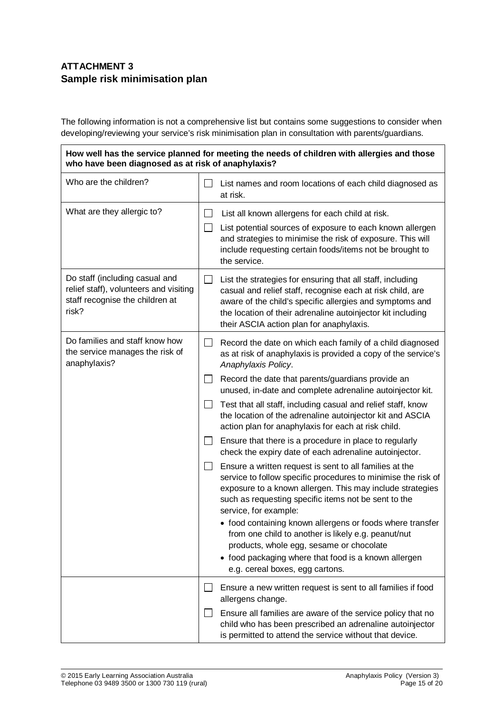## **ATTACHMENT 3 Sample risk minimisation plan**

The following information is not a comprehensive list but contains some suggestions to consider when developing/reviewing your service's risk minimisation plan in consultation with parents/guardians.

**How well has the service planned for meeting the needs of children with allergies and those who have been diagnosed as at risk of anaphylaxis?**

| Who are the children?                                                                                                |                              | List names and room locations of each child diagnosed as<br>at risk.                                                                                                                                                                                                                            |  |
|----------------------------------------------------------------------------------------------------------------------|------------------------------|-------------------------------------------------------------------------------------------------------------------------------------------------------------------------------------------------------------------------------------------------------------------------------------------------|--|
| What are they allergic to?                                                                                           | $\mathbf{I}$<br>$\mathsf{L}$ | List all known allergens for each child at risk.<br>List potential sources of exposure to each known allergen<br>and strategies to minimise the risk of exposure. This will<br>include requesting certain foods/items not be brought to<br>the service.                                         |  |
| Do staff (including casual and<br>relief staff), volunteers and visiting<br>staff recognise the children at<br>risk? |                              | List the strategies for ensuring that all staff, including<br>casual and relief staff, recognise each at risk child, are<br>aware of the child's specific allergies and symptoms and<br>the location of their adrenaline autoinjector kit including<br>their ASCIA action plan for anaphylaxis. |  |
| Do families and staff know how<br>the service manages the risk of<br>anaphylaxis?                                    | $\mathsf{L}$                 | Record the date on which each family of a child diagnosed<br>as at risk of anaphylaxis is provided a copy of the service's<br>Anaphylaxis Policy.                                                                                                                                               |  |
|                                                                                                                      |                              | Record the date that parents/guardians provide an<br>unused, in-date and complete adrenaline autoinjector kit.                                                                                                                                                                                  |  |
|                                                                                                                      |                              | Test that all staff, including casual and relief staff, know<br>the location of the adrenaline autoinjector kit and ASCIA<br>action plan for anaphylaxis for each at risk child.                                                                                                                |  |
|                                                                                                                      | $\mathsf{L}$                 | Ensure that there is a procedure in place to regularly<br>check the expiry date of each adrenaline autoinjector.                                                                                                                                                                                |  |
|                                                                                                                      | $\perp$                      | Ensure a written request is sent to all families at the<br>service to follow specific procedures to minimise the risk of<br>exposure to a known allergen. This may include strategies<br>such as requesting specific items not be sent to the<br>service, for example:                          |  |
|                                                                                                                      |                              | • food containing known allergens or foods where transfer<br>from one child to another is likely e.g. peanut/nut<br>products, whole egg, sesame or chocolate<br>• food packaging where that food is a known allergen<br>e.g. cereal boxes, egg cartons.                                         |  |
|                                                                                                                      |                              | Ensure a new written request is sent to all families if food<br>allergens change.                                                                                                                                                                                                               |  |
|                                                                                                                      |                              | Ensure all families are aware of the service policy that no<br>child who has been prescribed an adrenaline autoinjector<br>is permitted to attend the service without that device.                                                                                                              |  |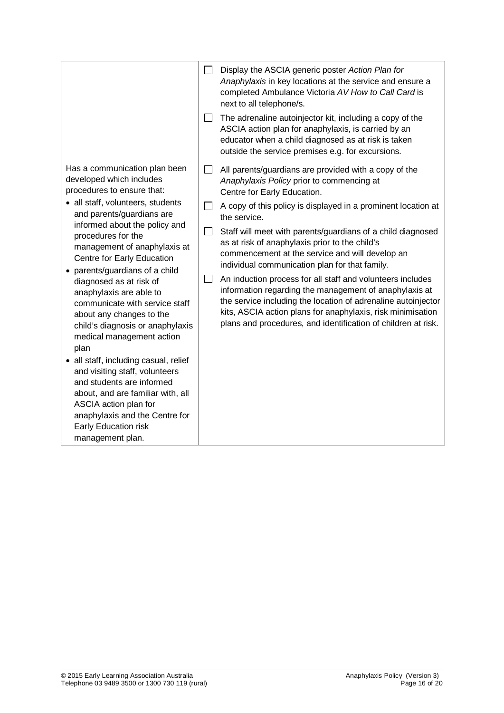|                                                                                                                                                                                                                                                                                                                                                                                                                                                                                                                                                                                                                                                                                                                                                                   | $\Box$                                     | Display the ASCIA generic poster Action Plan for<br>Anaphylaxis in key locations at the service and ensure a<br>completed Ambulance Victoria AV How to Call Card is<br>next to all telephone/s.                                                                                                                                                                                                                                                                                                                                                                                                                                                                                                                                                                   |
|-------------------------------------------------------------------------------------------------------------------------------------------------------------------------------------------------------------------------------------------------------------------------------------------------------------------------------------------------------------------------------------------------------------------------------------------------------------------------------------------------------------------------------------------------------------------------------------------------------------------------------------------------------------------------------------------------------------------------------------------------------------------|--------------------------------------------|-------------------------------------------------------------------------------------------------------------------------------------------------------------------------------------------------------------------------------------------------------------------------------------------------------------------------------------------------------------------------------------------------------------------------------------------------------------------------------------------------------------------------------------------------------------------------------------------------------------------------------------------------------------------------------------------------------------------------------------------------------------------|
|                                                                                                                                                                                                                                                                                                                                                                                                                                                                                                                                                                                                                                                                                                                                                                   | $\Box$                                     | The adrenaline autoinjector kit, including a copy of the<br>ASCIA action plan for anaphylaxis, is carried by an<br>educator when a child diagnosed as at risk is taken<br>outside the service premises e.g. for excursions.                                                                                                                                                                                                                                                                                                                                                                                                                                                                                                                                       |
| Has a communication plan been<br>developed which includes<br>procedures to ensure that:<br>• all staff, volunteers, students<br>and parents/guardians are<br>informed about the policy and<br>procedures for the<br>management of anaphylaxis at<br>Centre for Early Education<br>• parents/guardians of a child<br>diagnosed as at risk of<br>anaphylaxis are able to<br>communicate with service staff<br>about any changes to the<br>child's diagnosis or anaphylaxis<br>medical management action<br>plan<br>• all staff, including casual, relief<br>and visiting staff, volunteers<br>and students are informed<br>about, and are familiar with, all<br>ASCIA action plan for<br>anaphylaxis and the Centre for<br>Early Education risk<br>management plan. | $\Box$<br>$\mathsf{L}$<br>$\Box$<br>$\sim$ | All parents/guardians are provided with a copy of the<br>Anaphylaxis Policy prior to commencing at<br>Centre for Early Education.<br>A copy of this policy is displayed in a prominent location at<br>the service.<br>Staff will meet with parents/guardians of a child diagnosed<br>as at risk of anaphylaxis prior to the child's<br>commencement at the service and will develop an<br>individual communication plan for that family.<br>An induction process for all staff and volunteers includes<br>information regarding the management of anaphylaxis at<br>the service including the location of adrenaline autoinjector<br>kits, ASCIA action plans for anaphylaxis, risk minimisation<br>plans and procedures, and identification of children at risk. |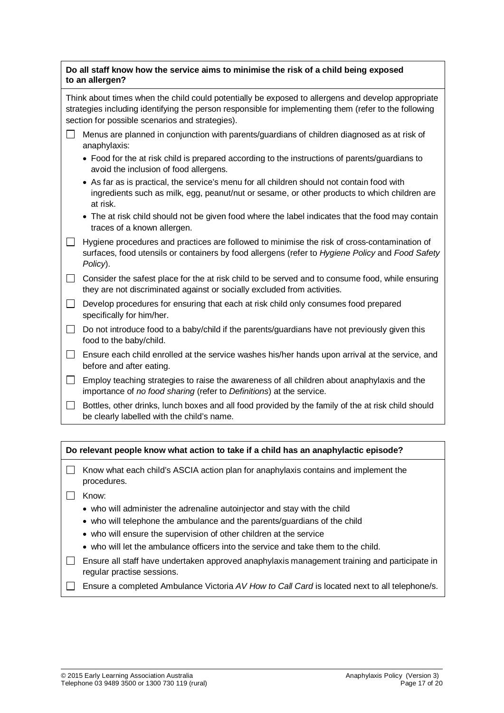#### **Do all staff know how the service aims to minimise the risk of a child being exposed to an allergen?**

Think about times when the child could potentially be exposed to allergens and develop appropriate strategies including identifying the person responsible for implementing them (refer to the following section for possible scenarios and strategies).

- $\Box$  Menus are planned in conjunction with parents/guardians of children diagnosed as at risk of anaphylaxis:
	- Food for the at risk child is prepared according to the instructions of parents/guardians to avoid the inclusion of food allergens.
	- As far as is practical, the service's menu for all children should not contain food with ingredients such as milk, egg, peanut/nut or sesame, or other products to which children are at risk.
	- The at risk child should not be given food where the label indicates that the food may contain traces of a known allergen.
- $\Box$  Hygiene procedures and practices are followed to minimise the risk of cross-contamination of surfaces, food utensils or containers by food allergens (refer to *Hygiene Policy* and *Food Safety Policy*).

 $\Box$  Consider the safest place for the at risk child to be served and to consume food, while ensuring they are not discriminated against or socially excluded from activities.

- $\Box$  Develop procedures for ensuring that each at risk child only consumes food prepared specifically for him/her.
- $\Box$  Do not introduce food to a baby/child if the parents/guardians have not previously given this food to the baby/child.
- $\Box$  Ensure each child enrolled at the service washes his/her hands upon arrival at the service, and before and after eating.
- $\Box$  Employ teaching strategies to raise the awareness of all children about anaphylaxis and the importance of *no food sharing* (refer to *Definitions*) at the service.
- $\Box$  Bottles, other drinks, lunch boxes and all food provided by the family of the at risk child should be clearly labelled with the child's name.

| Do relevant people know what action to take if a child has an anaphylactic episode? |
|-------------------------------------------------------------------------------------|
|-------------------------------------------------------------------------------------|

- $\Box$  Know what each child's ASCIA action plan for anaphylaxis contains and implement the procedures.
- $\Box$  Know:
	- who will administer the adrenaline autoinjector and stay with the child
	- who will telephone the ambulance and the parents/guardians of the child
	- who will ensure the supervision of other children at the service
	- who will let the ambulance officers into the service and take them to the child.
- $\Box$  Ensure all staff have undertaken approved anaphylaxis management training and participate in regular practise sessions.
- Ensure a completed Ambulance Victoria *AV How to Call Card* is located next to all telephone/s.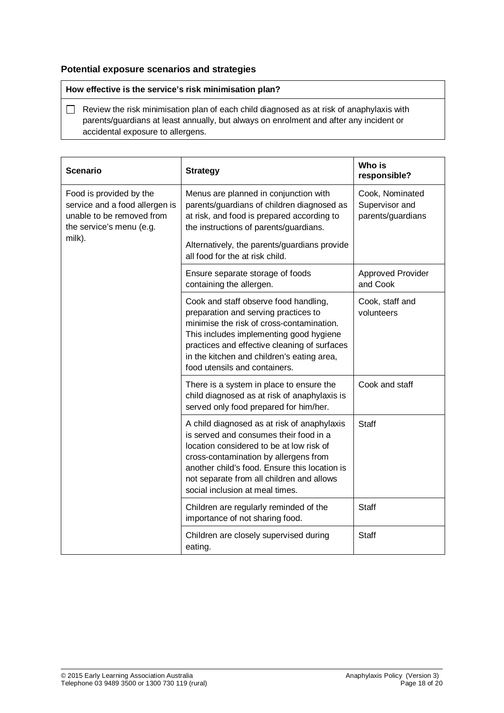### **Potential exposure scenarios and strategies**

#### **How effective is the service's risk minimisation plan?**

 $\Box$  Review the risk minimisation plan of each child diagnosed as at risk of anaphylaxis with parents/guardians at least annually, but always on enrolment and after any incident or accidental exposure to allergens.

| <b>Scenario</b>                                                                                                              | <b>Strategy</b>                                                                                                                                                                                                                                                                                             | Who is<br>responsible?                                 |
|------------------------------------------------------------------------------------------------------------------------------|-------------------------------------------------------------------------------------------------------------------------------------------------------------------------------------------------------------------------------------------------------------------------------------------------------------|--------------------------------------------------------|
| Food is provided by the<br>service and a food allergen is<br>unable to be removed from<br>the service's menu (e.g.<br>milk). | Menus are planned in conjunction with<br>parents/guardians of children diagnosed as<br>at risk, and food is prepared according to<br>the instructions of parents/guardians.                                                                                                                                 | Cook, Nominated<br>Supervisor and<br>parents/guardians |
|                                                                                                                              | Alternatively, the parents/guardians provide<br>all food for the at risk child.                                                                                                                                                                                                                             |                                                        |
|                                                                                                                              | Ensure separate storage of foods<br>containing the allergen.                                                                                                                                                                                                                                                | Approved Provider<br>and Cook                          |
|                                                                                                                              | Cook and staff observe food handling,<br>preparation and serving practices to<br>minimise the risk of cross-contamination.<br>This includes implementing good hygiene<br>practices and effective cleaning of surfaces<br>in the kitchen and children's eating area,<br>food utensils and containers.        | Cook, staff and<br>volunteers                          |
|                                                                                                                              | There is a system in place to ensure the<br>child diagnosed as at risk of anaphylaxis is<br>served only food prepared for him/her.                                                                                                                                                                          | Cook and staff                                         |
|                                                                                                                              | A child diagnosed as at risk of anaphylaxis<br>is served and consumes their food in a<br>location considered to be at low risk of<br>cross-contamination by allergens from<br>another child's food. Ensure this location is<br>not separate from all children and allows<br>social inclusion at meal times. | <b>Staff</b>                                           |
|                                                                                                                              | Children are regularly reminded of the<br>importance of not sharing food.                                                                                                                                                                                                                                   | <b>Staff</b>                                           |
|                                                                                                                              | Children are closely supervised during<br>eating.                                                                                                                                                                                                                                                           | <b>Staff</b>                                           |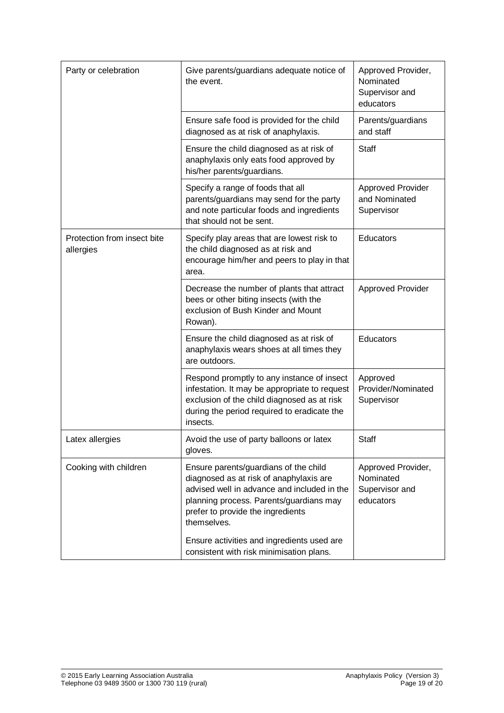| Party or celebration                     | Give parents/guardians adequate notice of<br>the event.                                                                                                                                                                        | Approved Provider,<br>Nominated<br>Supervisor and<br>educators |
|------------------------------------------|--------------------------------------------------------------------------------------------------------------------------------------------------------------------------------------------------------------------------------|----------------------------------------------------------------|
|                                          | Ensure safe food is provided for the child<br>diagnosed as at risk of anaphylaxis.                                                                                                                                             | Parents/guardians<br>and staff                                 |
|                                          | Ensure the child diagnosed as at risk of<br>anaphylaxis only eats food approved by<br>his/her parents/guardians.                                                                                                               | Staff                                                          |
|                                          | Specify a range of foods that all<br>parents/guardians may send for the party<br>and note particular foods and ingredients<br>that should not be sent.                                                                         | <b>Approved Provider</b><br>and Nominated<br>Supervisor        |
| Protection from insect bite<br>allergies | Specify play areas that are lowest risk to<br>the child diagnosed as at risk and<br>encourage him/her and peers to play in that<br>area.                                                                                       | Educators                                                      |
|                                          | Decrease the number of plants that attract<br>bees or other biting insects (with the<br>exclusion of Bush Kinder and Mount<br>Rowan).                                                                                          | <b>Approved Provider</b>                                       |
|                                          | Ensure the child diagnosed as at risk of<br>anaphylaxis wears shoes at all times they<br>are outdoors.                                                                                                                         | Educators                                                      |
|                                          | Respond promptly to any instance of insect<br>infestation. It may be appropriate to request<br>exclusion of the child diagnosed as at risk<br>during the period required to eradicate the<br>insects.                          | Approved<br>Provider/Nominated<br>Supervisor                   |
| Latex allergies                          | Avoid the use of party balloons or latex<br>gloves.                                                                                                                                                                            | <b>Staff</b>                                                   |
| Cooking with children                    | Ensure parents/guardians of the child<br>diagnosed as at risk of anaphylaxis are<br>advised well in advance and included in the<br>planning process. Parents/guardians may<br>prefer to provide the ingredients<br>themselves. | Approved Provider,<br>Nominated<br>Supervisor and<br>educators |
|                                          | Ensure activities and ingredients used are<br>consistent with risk minimisation plans.                                                                                                                                         |                                                                |